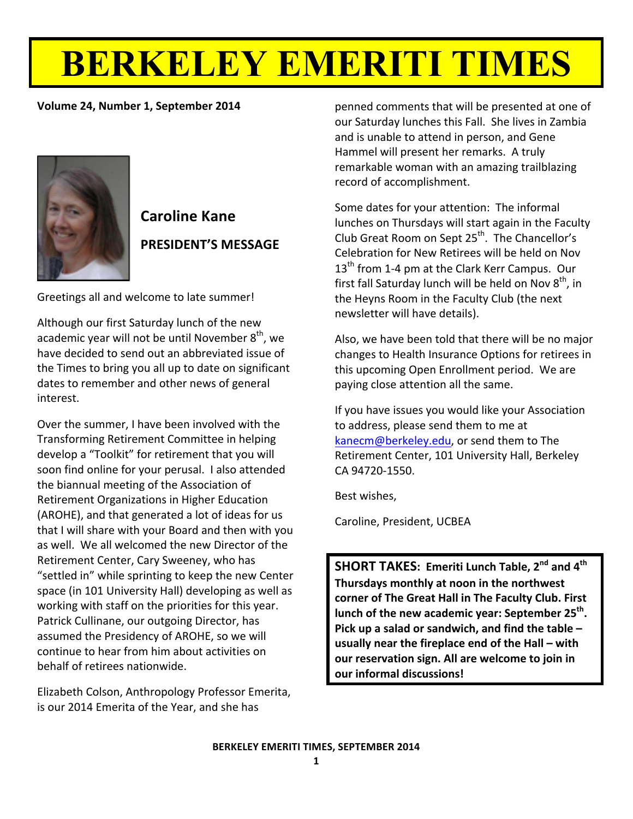# **BERKELEY EMERITI TIMES**

# **Volume 24, Number 1, September 2014**



# **Caroline Kane PRESIDENT'S!MESSAGE**

Greetings all and welcome to late summer!

Although our first Saturday lunch of the new academic year will not be until November  $8<sup>th</sup>$ , we have decided to send out an abbreviated issue of the Times to bring you all up to date on significant dates to remember and other news of general interest.

Over the summer, I have been involved with the Transforming Retirement Committee in helping develop a "Toolkit" for retirement that you will soon find online for your perusal. I also attended the biannual meeting of the Association of Retirement Organizations in Higher Education (AROHE), and that generated a lot of ideas for us that I will share with your Board and then with you as well. We all welcomed the new Director of the Retirement Center, Cary Sweeney, who has "settled in" while sprinting to keep the new Center space (in 101 University Hall) developing as well as working with staff on the priorities for this year. Patrick Cullinane, our outgoing Director, has assumed the Presidency of AROHE, so we will continue to hear from him about activities on behalf of retirees nationwide.

Elizabeth Colson, Anthropology Professor Emerita, is our 2014 Emerita of the Year, and she has

**1998** Temarkable woman with an amazing trailblazing penned comments that will be presented at one of our Saturday lunches this Fall. She lives in Zambia and is unable to attend in person, and Gene Hammel will present her remarks. A truly record of accomplishment.

> Some dates for your attention: The informal lunches on Thursdays will start again in the Faculty Club Great Room on Sept  $25<sup>th</sup>$ . The Chancellor's Celebration for New Retirees will be held on Nov  $13<sup>th</sup>$  from 1-4 pm at the Clark Kerr Campus. Our first fall Saturday lunch will be held on Nov  $8<sup>th</sup>$ , in the Heyns Room in the Faculty Club (the next newsletter will have details).

> Also, we have been told that there will be no major changes to Health Insurance Options for retirees in this upcoming Open Enrollment period. We are paying close attention all the same.

If you have issues you would like your Association to address, please send them to me at  $kanecm@berkeley.edu, or send them to The$ Retirement Center, 101 University Hall, Berkeley CA 94720-1550.

Best wishes.

Caroline, President, UCBEA

**SHORT TAKES: Emeriti Lunch Table, 2<sup>nd</sup> and 4<sup>th</sup>** Thursdays monthly at noon in the northwest corner of The Great Hall in The Faculty Club. First lunch of the new academic year: September 25<sup>th</sup>. Pick up a salad or sandwich, and find the table – usually near the fireplace end of the Hall – with **our reservation sign. All are welcome to join in our informal discussions!**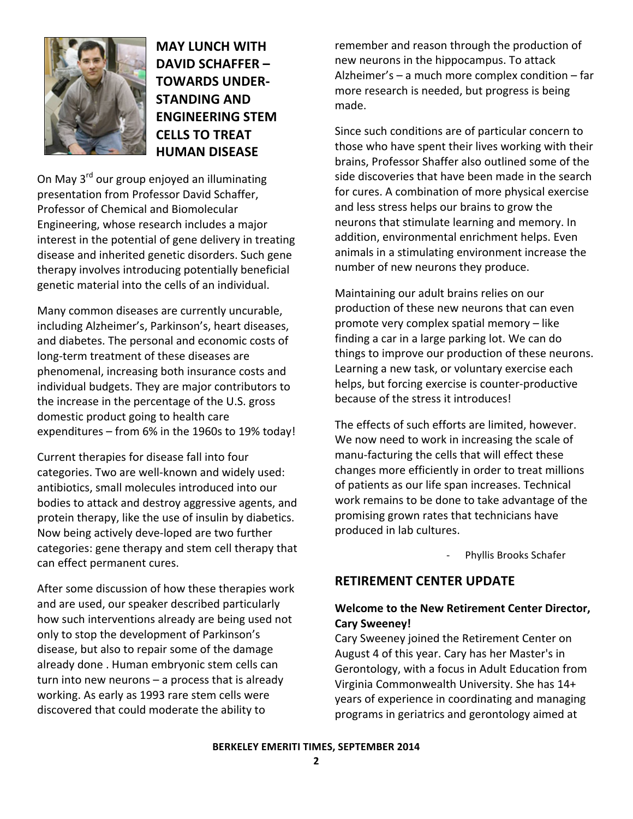

**MAY!LUNCH!WITH! DAVID SCHAFFER – TOWARDS UNDER-STANDING AND ENGINEERING!STEM! CELLS TO TREAT HUMAN!DISEASE**

On May 3<sup>rd</sup> our group enjoyed an illuminating presentation from Professor David Schaffer, Professor of Chemical and Biomolecular Engineering, whose research includes a major interest in the potential of gene delivery in treating disease and inherited genetic disorders. Such gene therapy involves introducing potentially beneficial genetic material into the cells of an individual.

Many common diseases are currently uncurable, including Alzheimer's, Parkinson's, heart diseases, and diabetes. The personal and economic costs of long-term treatment of these diseases are phenomenal, increasing both insurance costs and individual budgets. They are major contributors to the increase in the percentage of the U.S. gross domestic product going to health care expenditures – from 6% in the 1960s to 19% today!

Current therapies for disease fall into four categories. Two are well-known and widely used: antibiotics, small molecules introduced into our bodies to attack and destroy aggressive agents, and protein therapy, like the use of insulin by diabetics. Now being actively deve-loped are two further categories: gene therapy and stem cell therapy that can effect permanent cures.

After some discussion of how these therapies work and are used, our speaker described particularly how such interventions already are being used not only to stop the development of Parkinson's disease, but also to repair some of the damage already done . Human embryonic stem cells can turn into new neurons – a process that is already working. As early as 1993 rare stem cells were discovered that could moderate the ability to

remember and reason through the production of new neurons in the hippocampus. To attack Alzheimer's – a much more complex condition – far more research is needed, but progress is being made.

Since such conditions are of particular concern to those who have spent their lives working with their brains, Professor Shaffer also outlined some of the side discoveries that have been made in the search for cures. A combination of more physical exercise and less stress helps our brains to grow the neurons that stimulate learning and memory. In addition, environmental enrichment helps. Even animals in a stimulating environment increase the number of new neurons they produce.

Maintaining our adult brains relies on our production of these new neurons that can even promote very complex spatial memory – like finding a car in a large parking lot. We can do things to improve our production of these neurons. Learning a new task, or voluntary exercise each helps, but forcing exercise is counter-productive because of the stress it introduces!

The effects of such efforts are limited, however. We now need to work in increasing the scale of manu-facturing the cells that will effect these changes more efficiently in order to treat millions of patients as our life span increases. Technical work remains to be done to take advantage of the promising grown rates that technicians have produced in lab cultures.

Phyllis Brooks Schafer

# **RETIREMENT CENTER UPDATE**

# Welcome to the New Retirement Center Director, **Cary!Sweeney!**

Cary Sweeney joined the Retirement Center on August 4 of this year. Cary has her Master's in Gerontology, with a focus in Adult Education from Virginia Commonwealth University. She has 14+ years of experience in coordinating and managing programs in geriatrics and gerontology aimed at